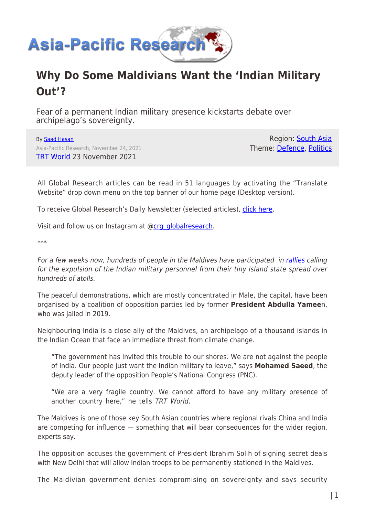

# **Why Do Some Maldivians Want the 'Indian Military Out'?**

Fear of a permanent Indian military presence kickstarts debate over archipelago's sovereignty.

By [Saad Hasan](https://www.asia-pacificresearch.com/author/saad-hasan) Asia-Pacific Research, November 24, 2021 [TRT World](https://www.trtworld.com/magazine/why-do-some-maldivians-want-the-indian-military-out-51899) 23 November 2021

Region: [South Asia](https://www.asia-pacificresearch.com/region/south-asia) Theme: [Defence,](https://www.asia-pacificresearch.com/theme/defence) [Politics](https://www.asia-pacificresearch.com/theme/politics)

All Global Research articles can be read in 51 languages by activating the "Translate Website" drop down menu on the top banner of our home page (Desktop version).

To receive Global Research's Daily Newsletter (selected articles), [click here.](https://lp.constantcontactpages.com/su/IJiNQuW?EMAIL=&go.x=0&go.y=0&go=GO)

Visit and follow us on Instagram at @[crg\\_globalresearch.](https://www.instagram.com/crg_globalresearch/)

\*\*\*

For a few weeks now, hundreds of people in the Maldives have participated in [rallies](https://www.maldivesnewsnetwork.com/2021/11/12/protestors-fill-the-streets-of-the-male-city-calling-for-the-removal-of-indian-military-presence-in-the-maldives/) calling for the expulsion of the Indian military personnel from their tiny island state spread over hundreds of atolls.

The peaceful demonstrations, which are mostly concentrated in Male, the capital, have been organised by a coalition of opposition parties led by former **President Abdulla Yamee**n, who was jailed in 2019.

Neighbouring India is a close ally of the Maldives, an archipelago of a thousand islands in the Indian Ocean that face an immediate threat from climate change.

"The government has invited this trouble to our shores. We are not against the people of India. Our people just want the Indian military to leave," says **Mohamed Saeed**, the deputy leader of the opposition People's National Congress (PNC).

"We are a very fragile country. We cannot afford to have any military presence of another country here," he tells TRT World.

The Maldives is one of those key South Asian countries where regional rivals China and India are competing for influence — something that will bear consequences for the wider region, experts say.

The opposition accuses the government of President Ibrahim Solih of signing secret deals with New Delhi that will allow Indian troops to be permanently stationed in the Maldives.

The Maldivian government denies compromising on sovereignty and says security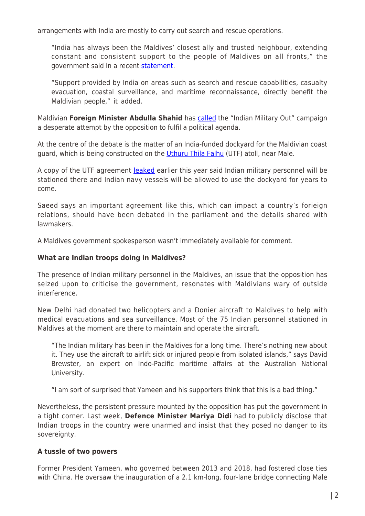arrangements with India are mostly to carry out search and rescue operations.

"India has always been the Maldives' closest ally and trusted neighbour, extending constant and consistent support to the people of Maldives on all fronts," the government said in a recent [statement.](https://www.gov.mv/en/news-and-communications/statement-by-the-government-of-maldives-on-spreading-false-information-using-the-india-out-slogan)

"Support provided by India on areas such as search and rescue capabilities, casualty evacuation, coastal surveillance, and maritime reconnaissance, directly benefit the Maldivian people," it added.

Maldivian **Foreign Minister Abdulla Shahid** has [called](https://www.sun.com.mv/63652) the "Indian Military Out" campaign a desperate attempt by the opposition to fulfil a political agenda.

At the centre of the debate is the matter of an India-funded dockyard for the Maldivian coast guard, which is being constructed on the [Uthuru Thila Falhu](https://www.dnaindia.com/india/report-india-maldives-sign-pact-on-development-of-coast-guard-harbour-2876803) (UTF) atoll, near Male.

A copy of the UTF agreement **[leaked](https://themaldivesjournal.com/22665)** earlier this year said Indian military personnel will be stationed there and Indian navy vessels will be allowed to use the dockyard for years to come.

Saeed says an important agreement like this, which can impact a country's forieign relations, should have been debated in the parliament and the details shared with lawmakers.

A Maldives government spokesperson wasn't immediately available for comment.

#### **What are Indian troops doing in Maldives?**

The presence of Indian military personnel in the Maldives, an issue that the opposition has seized upon to criticise the government, resonates with Maldivians wary of outside interference.

New Delhi had donated two helicopters and a Donier aircraft to Maldives to help with medical evacuations and sea surveillance. Most of the 75 Indian personnel stationed in Maldives at the moment are there to maintain and operate the aircraft.

"The Indian military has been in the Maldives for a long time. There's nothing new about it. They use the aircraft to airlift sick or injured people from isolated islands," says David Brewster, an expert on Indo-Pacific maritime affairs at the Australian National University.

"I am sort of surprised that Yameen and his supporters think that this is a bad thing."

Nevertheless, the persistent pressure mounted by the opposition has put the government in a tight corner. Last week, **Defence Minister Mariya Didi** had to publicly disclose that Indian troops in the country were unarmed and insist that they posed no danger to its sovereignty.

### **A tussle of two powers**

Former President Yameen, who governed between 2013 and 2018, had fostered close ties with China. He oversaw the inauguration of a 2.1 km-long, four-lane bridge connecting Male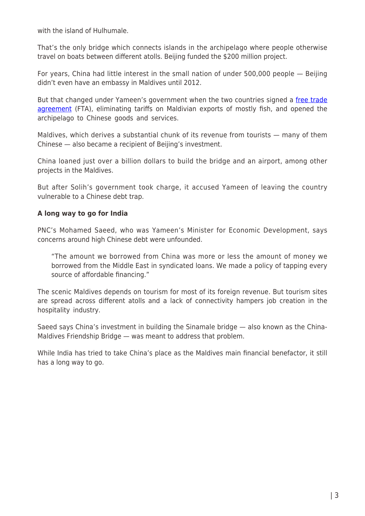with the island of Hulhumale.

That's the only bridge which connects islands in the archipelago where people otherwise travel on boats between different atolls. Beijing funded the \$200 million project.

For years, China had little interest in the small nation of under 500,000 people — Beijing didn't even have an embassy in Maldives until 2012.

But that changed under Yameen's government when the two countries signed a [free trade](https://www.trtworld.com/asia/the-opposition-has-won-in-the-maldives-what-does-it-mean-20431) [agreement](https://www.trtworld.com/asia/the-opposition-has-won-in-the-maldives-what-does-it-mean-20431) (FTA), eliminating tariffs on Maldivian exports of mostly fish, and opened the archipelago to Chinese goods and services.

Maldives, which derives a substantial chunk of its revenue from tourists — many of them Chinese — also became a recipient of Beijing's investment.

China loaned just over a billion dollars to build the bridge and an airport, among other projects in the Maldives.

But after Solih's government took charge, it accused Yameen of leaving the country vulnerable to a Chinese debt trap.

# **A long way to go for India**

PNC's Mohamed Saeed, who was Yameen's Minister for Economic Development, says concerns around high Chinese debt were unfounded.

"The amount we borrowed from China was more or less the amount of money we borrowed from the Middle East in syndicated loans. We made a policy of tapping every source of affordable financing."

The scenic Maldives depends on tourism for most of its foreign revenue. But tourism sites are spread across different atolls and a lack of connectivity hampers job creation in the hospitality industry.

Saeed says China's investment in building the Sinamale bridge — also known as the China-Maldives Friendship Bridge — was meant to address that problem.

While India has tried to take China's place as the Maldives main financial benefactor, it still has a long way to go.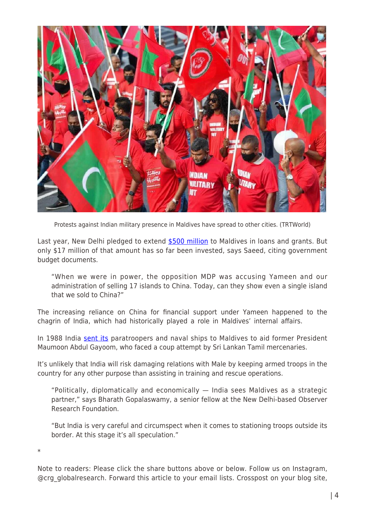

Protests against Indian military presence in Maldives have spread to other cities. (TRTWorld)

Last year, New Delhi pledged to extend [\\$500 million](https://www.dw.com/en/india-seeks-to-counter-china-influence-in-maldives-with-bridge-project/a-54555981) to Maldives in loans and grants. But only \$17 million of that amount has so far been invested, says Saeed, citing government budget documents.

"When we were in power, the opposition MDP was accusing Yameen and our administration of selling 17 islands to China. Today, can they show even a single island that we sold to China?"

The increasing reliance on China for financial support under Yameen happened to the chagrin of India, which had historically played a role in Maldives' internal affairs.

In 1988 India [sent its](https://timesofindia.indiatimes.com/world/south-asia/operation-cactus-how-indian-troops-went-to-maldives-and-helped-quell-a-coup/articleshow/62816787.cms) paratroopers and naval ships to Maldives to aid former President Maumoon Abdul Gayoom, who faced a coup attempt by Sri Lankan Tamil mercenaries.

It's unlikely that India will risk damaging relations with Male by keeping armed troops in the country for any other purpose than assisting in training and rescue operations.

"Politically, diplomatically and economically — India sees Maldives as a strategic partner," says Bharath Gopalaswamy, a senior fellow at the New Delhi-based Observer Research Foundation.

"But India is very careful and circumspect when it comes to stationing troops outside its border. At this stage it's all speculation."

\*

Note to readers: Please click the share buttons above or below. Follow us on Instagram, @crg\_globalresearch. Forward this article to your email lists. Crosspost on your blog site,